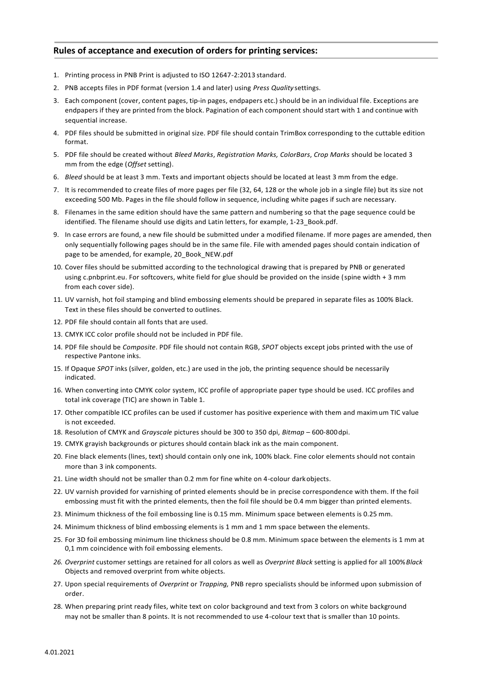## **Rules of acceptance and execution of orders for printing services:**

- 1. Printing process in PNB Print is adjusted to ISO 12647-2:2013 standard.
- 2. PNB accepts files in PDF format (version 1.4 and later) using *Press Quality* settings.
- 3. Each component (cover, content pages, tip-in pages, endpapers etc.) should be in an individual file. Exceptions are endpapers if they are printed from the block. Pagination of each component should start with 1 and continue with sequential increase.
- 4. PDF files should be submitted in original size. PDF file should contain TrimBox corresponding to the cuttable edition format.
- 5. PDF file should be created without *Bleed Marks*, *Registration Marks, ColorBars*, *Crop Marks* should be located 3 mm from the edge (*Offset* setting).
- 6. *Bleed* should be at least 3 mm. Texts and important objects should be located at least 3 mm from the edge.
- 7. It is recommended to create files of more pages per file (32, 64, 128 or the whole job in a single file) but its size not exceeding 500 Mb. Pages in the file should follow in sequence, including white pages if such are necessary.
- 8. Filenames in the same edition should have the same pattern and numbering so that the page sequence could be identified. The filename should use digits and Latin letters, for example, 1-23 Book.pdf.
- 9. In case errors are found, a new file should be submitted under a modified filename. If more pages are amended, then only sequentially following pages should be in the same file. File with amended pages should contain indication of page to be amended, for example, 20\_Book\_NEW.pdf
- 10. Cover files should be submitted according to the technological drawing that is prepared by PNB or generated using c.pnbprint.eu. For softcovers, white field for glue should be provided on the inside (spine width + 3 mm from each cover side).
- 11. UV varnish, hot foil stamping and blind embossing elements should be prepared in separate files as 100% Black. Text in these files should be converted to outlines.
- 12. PDF file should contain all fonts that are used.
- 13. CMYK ICC color profile should not be included in PDF file.
- 14. PDF file should be *Composite*. PDF file should not contain RGB, *SPOT* objects except jobs printed with the use of respective Pantone inks.
- 15. If Opaque *SPOT* inks (silver, golden, etc.) are used in the job, the printing sequence should be necessarily indicated.
- 16. When converting into CMYK color system, ICC profile of appropriate paper type should be used. ICC profiles and total ink coverage (TIC) are shown in Table 1.
- 17. Other compatible ICC profiles can be used if customer has positive experience with them and maximum TIC value is not exceeded.
- 18. Resolution of CMYK and *Grayscale* pictures should be 300 to 350 dpi, *Bitmap*  600-800dpi.
- 19. CMYK grayish backgrounds or pictures should contain black ink as the main component.
- 20. Fine black elements (lines, text) should contain only one ink, 100% black. Fine color elements should not contain more than 3 ink components.
- 21. Line width should not be smaller than 0.2 mm for fine white on 4-colour darkobjects.
- 22. UV varnish provided for varnishing of printed elements should be in precise correspondence with them. If the foil embossing must fit with the printed elements, then the foil file should be 0.4 mm bigger than printed elements.
- 23. Minimum thickness of the foil embossing line is 0.15 mm. Minimum space between elements is 0.25 mm.
- 24. Minimum thickness of blind embossing elements is 1 mm and 1 mm space between the elements.
- 25. For 3D foil embossing minimum line thickness should be 0.8 mm. Minimum space between the elements is 1 mm at 0,1 mm coincidence with foil embossing elements.
- *26. Overprint* customer settings are retained for all colors as well as *Overprint Black* setting is applied for all 100%*Black* Objects and removed overprint from white objects.
- 27. Upon special requirements of *Overprint* or *Trapping,* PNB repro specialists should be informed upon submission of order.
- 28. When preparing print ready files, white text on color background and text from 3 colors on white background may not be smaller than 8 points. It is not recommended to use 4-colour text that is smaller than 10 points.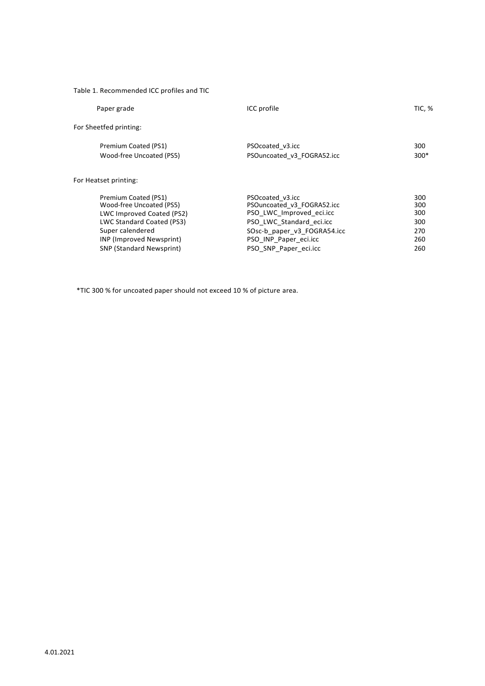## Table 1. Recommended ICC profiles and TIC

| Paper grade            |                                                                                                                                                                           | ICC profile                                                                                                                                                                             | <b>TIC, %</b>                                 |
|------------------------|---------------------------------------------------------------------------------------------------------------------------------------------------------------------------|-----------------------------------------------------------------------------------------------------------------------------------------------------------------------------------------|-----------------------------------------------|
| For Sheetfed printing: |                                                                                                                                                                           |                                                                                                                                                                                         |                                               |
|                        | Premium Coated (PS1)<br>Wood-free Uncoated (PS5)                                                                                                                          | PSOcoated v3.icc<br>PSOuncoated v3 FOGRA52.icc                                                                                                                                          | 300<br>$300*$                                 |
| For Heatset printing:  |                                                                                                                                                                           |                                                                                                                                                                                         |                                               |
| Super calendered       | Premium Coated (PS1)<br>Wood-free Uncoated (PS5)<br>LWC Improved Coated (PS2)<br>LWC Standard Coated (PS3)<br>INP (Improved Newsprint)<br><b>SNP (Standard Newsprint)</b> | PSOcoated v3.icc<br>PSOuncoated v3 FOGRA52.icc<br>PSO LWC Improved eci.icc<br>PSO LWC Standard eci.icc<br>SOsc-b paper v3 FOGRA54.icc<br>PSO INP Paper eci.icc<br>PSO SNP Paper eci.icc | 300<br>300<br>300<br>300<br>270<br>260<br>260 |

\*TIC 300 % for uncoated paper should not exceed 10 % of picture area.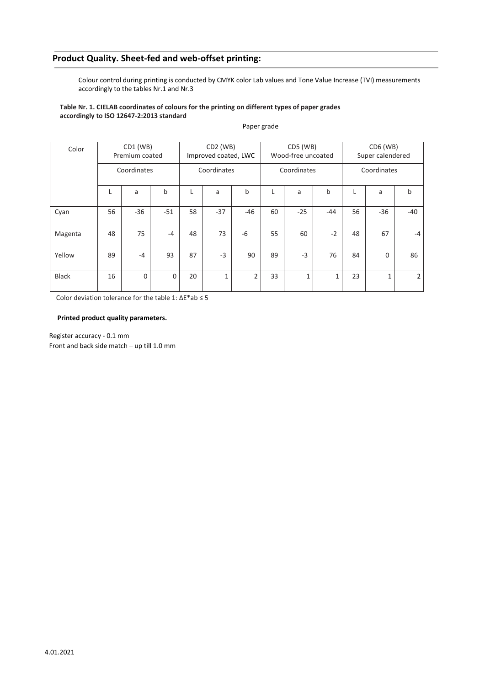# **Product Quality. Sheet-fed and web-offset printing:**

Colour control during printing is conducted by CMYK color Lab values and Tone Value Increase (TVI) measurements accordingly to the tables Nr.1 and Nr.3

#### **Table Nr. 1. CIELAB coordinates of colours for the printing on different types of paper grades accordingly to ISO 12647-2:2013 standard**

| Color        | CD1 (WB)<br>Premium coated |          | $CD2$ (WB)<br>Improved coated, LWC |    | CD5 (WB)<br>Wood-free uncoated |       | $CD6$ (WB)<br>Super calendered |              |       |    |       |       |
|--------------|----------------------------|----------|------------------------------------|----|--------------------------------|-------|--------------------------------|--------------|-------|----|-------|-------|
|              | Coordinates                |          | Coordinates                        |    | Coordinates                    |       | Coordinates                    |              |       |    |       |       |
|              |                            | a        | b                                  |    | a                              | b     |                                | a            | b     |    | a     | b     |
| Cyan         | 56                         | $-36$    | $-51$                              | 58 | $-37$                          | $-46$ | 60                             | $-25$        | $-44$ | 56 | $-36$ | $-40$ |
| Magenta      | 48                         | 75       | $-4$                               | 48 | 73                             | $-6$  | 55                             | 60           | $-2$  | 48 | 67    | $-4$  |
| Yellow       | 89                         | $-4$     | 93                                 | 87 | $-3$                           | 90    | 89                             | $-3$         | 76    | 84 | 0     | 86    |
| <b>Black</b> | 16                         | $\Omega$ | $\mathbf 0$                        | 20 | 1                              | 2     | 33                             | $\mathbf{1}$ |       | 23 | 1     | 2     |

#### Paper grade

Color deviation tolerance for the table 1: ∆E\*ab ≤ 5

#### **Printed product quality parameters.**

Register accuracy - 0.1 mm Front and back side match – up till 1.0 mm